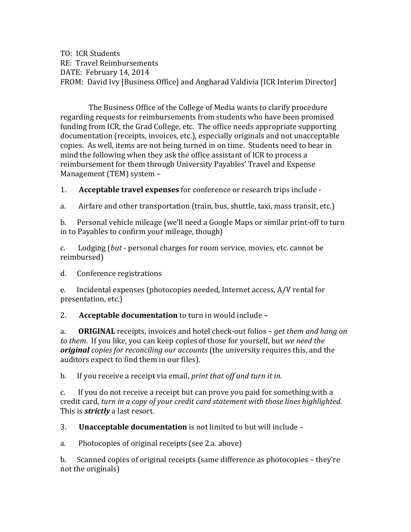TO: ICR Students RE: Travel Reimbursements DATE: February 14, 2014 FROM: David Ivy [Business Office] and Angharad Valdivia [ICR Interim Director]

The Business Office of the College of Media wants to clarify procedure regarding requests for reimbursements from students who have been promised funding from ICR, the Grad College, etc. The office needs appropriate supporting documentation (receipts, invoices, etc.), especially originals and not unacceptable copies. As well, items are not being turned in on time. Students need to bear in mind the following when they ask the office assistant of ICR to process a reimbursement for them through University Payables' Travel and Expense Management (TEM) system -

1. **Acceptable travel expenses** for conference or research trips include -

a. Airfare and other transportation (train, bus, shuttle, taxi, mass transit, etc.)

b. Personal vehicle mileage (we'll need a Google Maps or similar print-off to turn in to Payables to confirm your mileage, though)

c. Lodging (but - personal charges for room service, movies, etc. cannot be reimbursed)

d. Conference registrations

e. Incidental expenses (photocopies needed, Internet access, A/V rental for presentation, etc.)

2. Acceptable documentation to turn in would include -

a. **ORIGINAL** receipts, invoices and hotel check-out folios – *get them and hang on to* them. If you like, you can keep copies of those for yourself, but we need the *original copies for reconciling our accounts* (the university requires this, and the auditors expect to find them in our files).

b. If you receive a receipt via email, *print that off and turn it in.* 

c. If you do not receive a receipt but can prove you paid for something with a credit card, turn in a copy of your credit card statement with those lines highlighted. This is *strictly* a last resort.

3. **Unacceptable documentation** is not limited to but will include –

a. Photocopies of original receipts (see 2.a. above)

b. Scanned copies of original receipts (same difference as photocopies  $-$  they're not the originals)